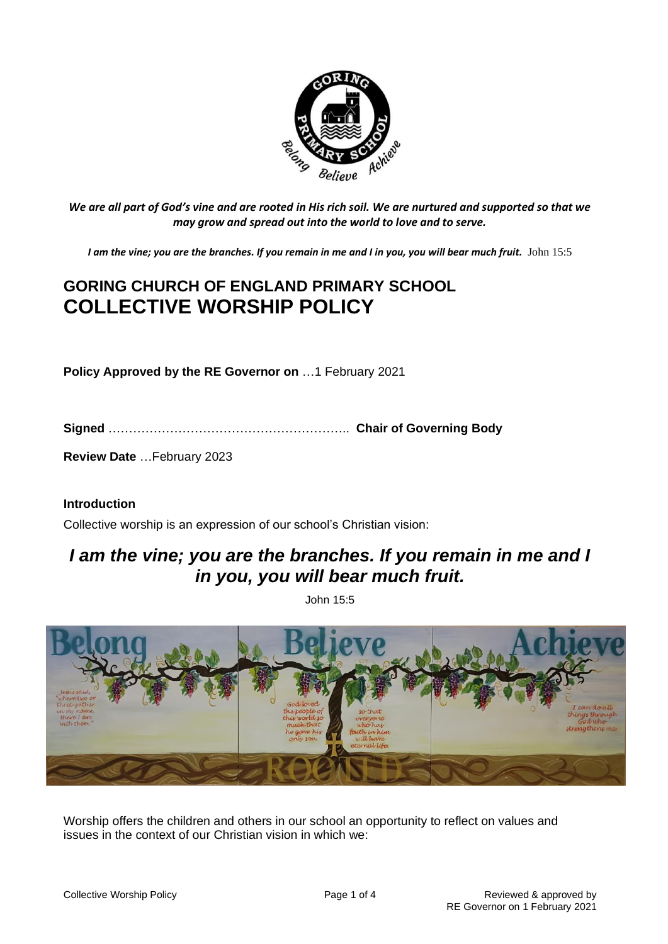

*We are all part of God's vine and are rooted in His rich soil. We are nurtured and supported so that we may grow and spread out into the world to love and to serve.*

*I am the vine; you are the branches. If you remain in me and I in you, you will bear much fruit.* John 15:5

# **GORING CHURCH OF ENGLAND PRIMARY SCHOOL COLLECTIVE WORSHIP POLICY**

**Policy Approved by the RE Governor on** …1 February 2021

**Signed** ………………………………………………….. **Chair of Governing Body**

**Review Date** …February 2023

#### **Introduction**

Collective worship is an expression of our school's Christian vision:

## *I am the vine; you are the branches. If you remain in me and I in you, you will bear much fruit.*

John 15:5



Worship offers the children and others in our school an opportunity to reflect on values and issues in the context of our Christian vision in which we: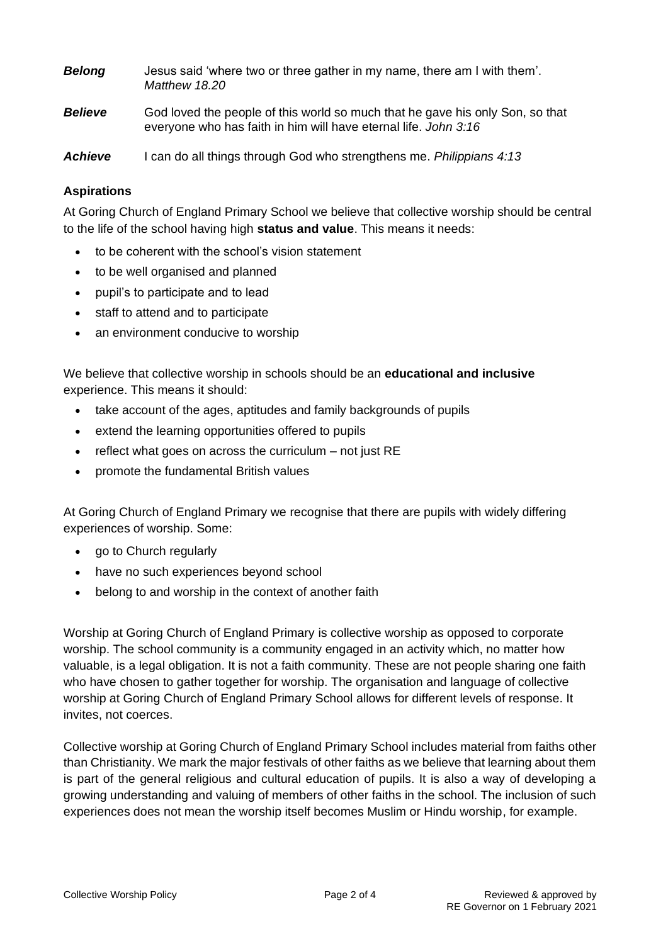| <b>Belong</b>  | Jesus said 'where two or three gather in my name, there am I with them'.<br>Matthew 18.20                                                        |
|----------------|--------------------------------------------------------------------------------------------------------------------------------------------------|
| <b>Believe</b> | God loved the people of this world so much that he gave his only Son, so that<br>everyone who has faith in him will have eternal life. John 3:16 |

*Achieve* I can do all things through God who strengthens me. *Philippians 4:13*

## **Aspirations**

At Goring Church of England Primary School we believe that collective worship should be central to the life of the school having high **status and value**. This means it needs:

- to be coherent with the school's vision statement
- to be well organised and planned
- pupil's to participate and to lead
- staff to attend and to participate
- an environment conducive to worship

We believe that collective worship in schools should be an **educational and inclusive** experience. This means it should:

- take account of the ages, aptitudes and family backgrounds of pupils
- extend the learning opportunities offered to pupils
- reflect what goes on across the curriculum not just RE
- promote the fundamental British values

At Goring Church of England Primary we recognise that there are pupils with widely differing experiences of worship. Some:

- go to Church regularly
- have no such experiences beyond school
- belong to and worship in the context of another faith

Worship at Goring Church of England Primary is collective worship as opposed to corporate worship. The school community is a community engaged in an activity which, no matter how valuable, is a legal obligation. It is not a faith community. These are not people sharing one faith who have chosen to gather together for worship. The organisation and language of collective worship at Goring Church of England Primary School allows for different levels of response. It invites, not coerces.

Collective worship at Goring Church of England Primary School includes material from faiths other than Christianity. We mark the major festivals of other faiths as we believe that learning about them is part of the general religious and cultural education of pupils. It is also a way of developing a growing understanding and valuing of members of other faiths in the school. The inclusion of such experiences does not mean the worship itself becomes Muslim or Hindu worship, for example.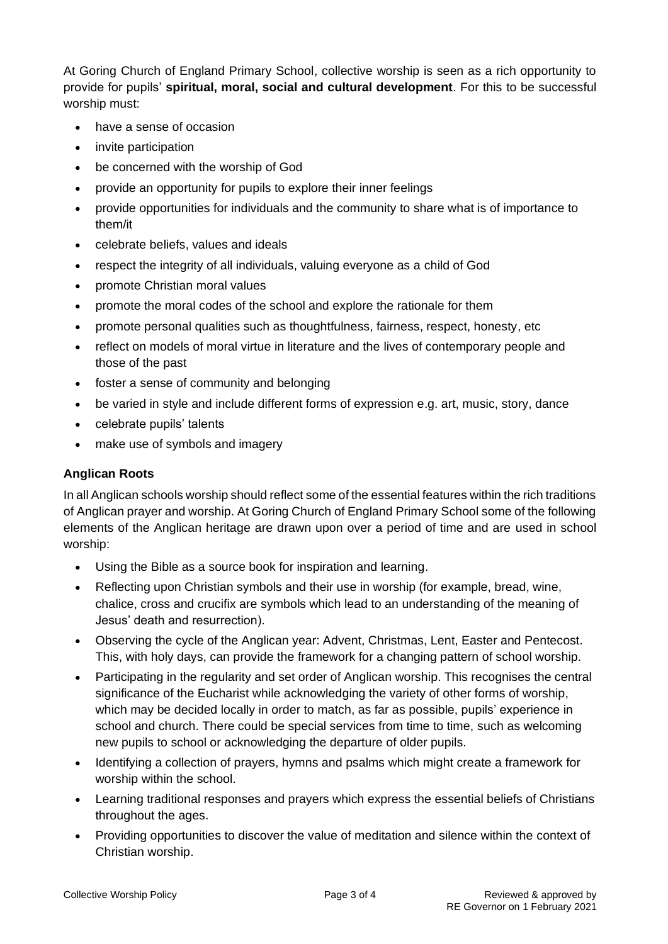At Goring Church of England Primary School, collective worship is seen as a rich opportunity to provide for pupils' **spiritual, moral, social and cultural development**. For this to be successful worship must:

- have a sense of occasion
- invite participation
- be concerned with the worship of God
- provide an opportunity for pupils to explore their inner feelings
- provide opportunities for individuals and the community to share what is of importance to them/it
- celebrate beliefs, values and ideals
- respect the integrity of all individuals, valuing everyone as a child of God
- promote Christian moral values
- promote the moral codes of the school and explore the rationale for them
- promote personal qualities such as thoughtfulness, fairness, respect, honesty, etc
- reflect on models of moral virtue in literature and the lives of contemporary people and those of the past
- foster a sense of community and belonging
- be varied in style and include different forms of expression e.g. art, music, story, dance
- celebrate pupils' talents
- make use of symbols and imagery

## **Anglican Roots**

In all Anglican schools worship should reflect some of the essential features within the rich traditions of Anglican prayer and worship. At Goring Church of England Primary School some of the following elements of the Anglican heritage are drawn upon over a period of time and are used in school worship:

- Using the Bible as a source book for inspiration and learning.
- Reflecting upon Christian symbols and their use in worship (for example, bread, wine, chalice, cross and crucifix are symbols which lead to an understanding of the meaning of Jesus' death and resurrection).
- Observing the cycle of the Anglican year: Advent, Christmas, Lent, Easter and Pentecost. This, with holy days, can provide the framework for a changing pattern of school worship.
- Participating in the regularity and set order of Anglican worship. This recognises the central significance of the Eucharist while acknowledging the variety of other forms of worship, which may be decided locally in order to match, as far as possible, pupils' experience in school and church. There could be special services from time to time, such as welcoming new pupils to school or acknowledging the departure of older pupils.
- Identifying a collection of prayers, hymns and psalms which might create a framework for worship within the school.
- Learning traditional responses and prayers which express the essential beliefs of Christians throughout the ages.
- Providing opportunities to discover the value of meditation and silence within the context of Christian worship.